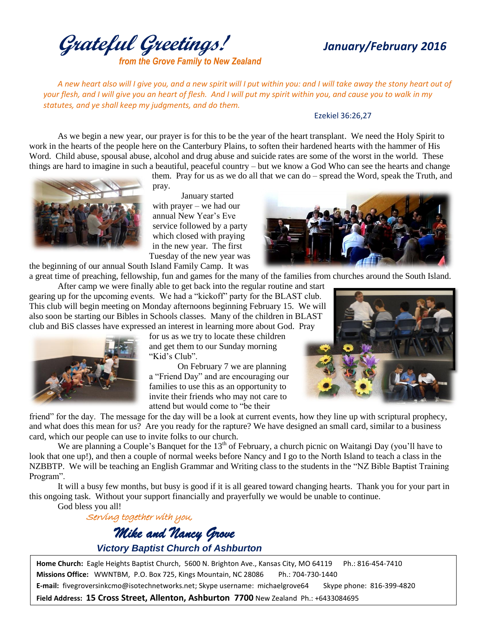**Grateful Greetings!** *January/February <sup>2016</sup> from the Grove Family to New Zealand*

*A new heart also will I give you, and a new spirit will I put within you: and I will take away the stony heart out of your flesh, and I will give you an heart of flesh. And I will put my spirit within you, and cause you to walk in my statutes, and ye shall keep my judgments, and do them.*

## Ezekiel 36:26,27

As we begin a new year, our prayer is for this to be the year of the heart transplant. We need the Holy Spirit to work in the hearts of the people here on the Canterbury Plains, to soften their hardened hearts with the hammer of His Word. Child abuse, spousal abuse, alcohol and drug abuse and suicide rates are some of the worst in the world. These things are hard to imagine in such a beautiful, peaceful country – but we know a God Who can see the hearts and change

them. Pray for us as we do all that we can do – spread the Word, speak the Truth, and pray.

January started with prayer – we had our annual New Year's Eve service followed by a party which closed with praying in the new year. The first Tuesday of the new year was

the beginning of our annual South Island Family Camp. It was a great time of preaching, fellowship, fun and games for the many of the families from churches around the South Island.

After camp we were finally able to get back into the regular routine and start gearing up for the upcoming events. We had a "kickoff" party for the BLAST club. This club will begin meeting on Monday afternoons beginning February 15. We will also soon be starting our Bibles in Schools classes. Many of the children in BLAST club and BiS classes have expressed an interest in learning more about God. Pray



for us as we try to locate these children and get them to our Sunday morning "Kid's Club".

On February 7 we are planning a "Friend Day" and are encouraging our families to use this as an opportunity to invite their friends who may not care to attend but would come to "be their

friend" for the day. The message for the day will be a look at current events, how they line up with scriptural prophecy, and what does this mean for us? Are you ready for the rapture? We have designed an small card, similar to a business card, which our people can use to invite folks to our church.

We are planning a Couple's Banquet for the  $13<sup>th</sup>$  of February, a church picnic on Waitangi Day (you'll have to look that one up!), and then a couple of normal weeks before Nancy and I go to the North Island to teach a class in the NZBBTP. We will be teaching an English Grammar and Writing class to the students in the "NZ Bible Baptist Training Program".

It will a busy few months, but busy is good if it is all geared toward changing hearts. Thank you for your part in this ongoing task. Without your support financially and prayerfully we would be unable to continue. God bless you all!

 Serving together with you, *Mike and Nancy Grove Victory Baptist Church of Ashburton*

**Home Church:** Eagle Heights Baptist Church, 5600 N. Brighton Ave., Kansas City, MO 64119 Ph.: 816-454-7410 **Missions Office:** WWNTBM, P.O. Box 725, Kings Mountain, NC 28086 Ph.: 704-730-1440 **E-mail:** fivegroversinkcmo@isotechnetworks.net; Skype username: michaelgrove64 Skype phone: 816-399-4820

**Field Address: 15 Cross Street, Allenton, Ashburton 7700** New Zealand Ph.: +6433084695